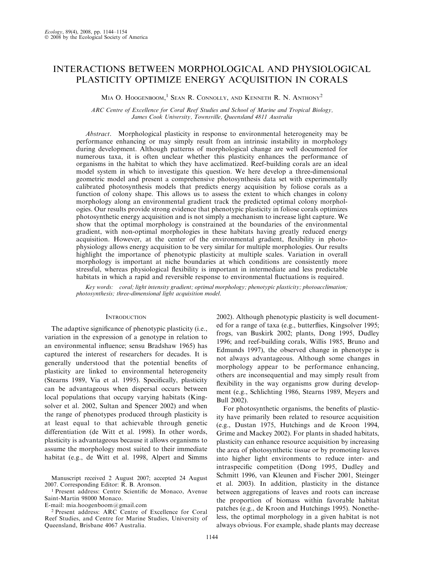# INTERACTIONS BETWEEN MORPHOLOGICAL AND PHYSIOLOGICAL PLASTICITY OPTIMIZE ENERGY ACQUISITION IN CORALS

MIA O. HOOGENBOOM,<sup>1</sup> SEAN R. CONNOLLY, AND KENNETH R. N. ANTHONY<sup>2</sup>

ARC Centre of Excellence for Coral Reef Studies and School of Marine and Tropical Biology, James Cook University, Townsville, Queensland 4811 Australia

Abstract. Morphological plasticity in response to environmental heterogeneity may be performance enhancing or may simply result from an intrinsic instability in morphology during development. Although patterns of morphological change are well documented for numerous taxa, it is often unclear whether this plasticity enhances the performance of organisms in the habitat to which they have acclimatized. Reef-building corals are an ideal model system in which to investigate this question. We here develop a three-dimensional geometric model and present a comprehensive photosynthesis data set with experimentally calibrated photosynthesis models that predicts energy acquisition by foliose corals as a function of colony shape. This allows us to assess the extent to which changes in colony morphology along an environmental gradient track the predicted optimal colony morphologies. Our results provide strong evidence that phenotypic plasticity in foliose corals optimizes photosynthetic energy acquisition and is not simply a mechanism to increase light capture. We show that the optimal morphology is constrained at the boundaries of the environmental gradient, with non-optimal morphologies in these habitats having greatly reduced energy acquisition. However, at the center of the environmental gradient, flexibility in photophysiology allows energy acquisition to be very similar for multiple morphologies. Our results highlight the importance of phenotypic plasticity at multiple scales. Variation in overall morphology is important at niche boundaries at which conditions are consistently more stressful, whereas physiological flexibility is important in intermediate and less predictable habitats in which a rapid and reversible response to environmental fluctuations is required.

Key words: coral; light intensity gradient; optimal morphology; phenotypic plasticity; photoacclimation; photosynthesis; three-dimensional light acquisition model.

## **INTRODUCTION**

The adaptive significance of phenotypic plasticity (i.e., variation in the expression of a genotype in relation to an environmental influence; sensu Bradshaw 1965) has captured the interest of researchers for decades. It is generally understood that the potential benefits of plasticity are linked to environmental heterogeneity (Stearns 1989, Via et al. 1995). Specifically, plasticity can be advantageous when dispersal occurs between local populations that occupy varying habitats (Kingsolver et al. 2002, Sultan and Spencer 2002) and when the range of phenotypes produced through plasticity is at least equal to that achievable through genetic differentiation (de Witt et al. 1998). In other words, plasticity is advantageous because it allows organisms to assume the morphology most suited to their immediate habitat (e.g., de Witt et al. 1998, Alpert and Simms

<sup>1</sup> Present address: Centre Scientific de Monaco, Avenue Saint-Martin 98000 Monaco.

E-mail: mia.hoogenboom@gmail.com

2002). Although phenotypic plasticity is well documented for a range of taxa (e.g., butterflies, Kingsolver 1995; frogs, van Buskirk 2002; plants, Dong 1995, Dudley 1996; and reef-building corals, Willis 1985, Bruno and Edmunds 1997), the observed change in phenotype is not always advantageous. Although some changes in morphology appear to be performance enhancing, others are inconsequential and may simply result from flexibility in the way organisms grow during development (e.g., Schlichting 1986, Stearns 1989, Meyers and Bull 2002). For photosynthetic organisms, the benefits of plastic-

ity have primarily been related to resource acquisition (e.g., Dustan 1975, Hutchings and de Kroon 1994, Grime and Mackey 2002). For plants in shaded habitats, plasticity can enhance resource acquisition by increasing the area of photosynthetic tissue or by promoting leaves into higher light environments to reduce inter- and intraspecific competition (Dong 1995, Dudley and Schmitt 1996, van Kleunen and Fischer 2001, Steinger et al. 2003). In addition, plasticity in the distance between aggregations of leaves and roots can increase the proportion of biomass within favorable habitat patches (e.g., de Kroon and Hutchings 1995). Nonetheless, the optimal morphology in a given habitat is not always obvious. For example, shade plants may decrease

Manuscript received 2 August 2007; accepted 24 August 2007. Corresponding Editor: R. B. Aronson.

<sup>2</sup> Present address: ARC Centre of Excellence for Coral Reef Studies, and Centre for Marine Studies, University of Queensland, Brisbane 4067 Australia.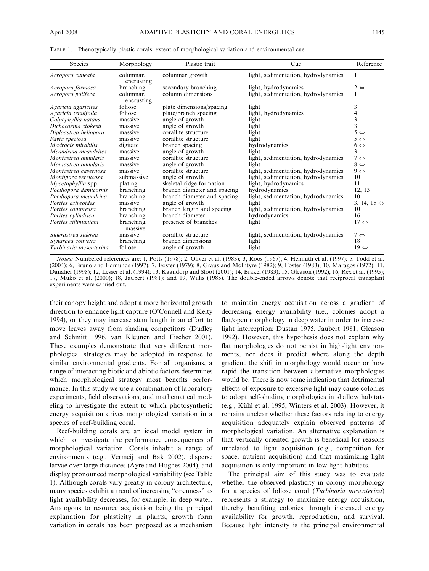| Species                   | Morphology              | Plastic trait               | Cue                                 | Reference                   |
|---------------------------|-------------------------|-----------------------------|-------------------------------------|-----------------------------|
| Acropora cuneata          | columnar,<br>encrusting | columnar growth             | light, sedimentation, hydrodynamics |                             |
| Acropora formosa          | branching               | secondary branching         | light, hydrodynamics                | $2 \Leftrightarrow$         |
| Acropora palifera         | columnar,<br>encrusting | column dimensions           | light, sedimentation, hydrodynamics | 1                           |
| Agaricia agaricites       | foliose                 | plate dimensions/spacing    | light                               | 3                           |
| Agaricia tenuifolia       | foliose                 | plate/branch spacing        | light, hydrodynamics                | 4                           |
| Colpophyllia natans       | massive                 | angle of growth             | light                               | 3                           |
| Dichocoenia stokesii      | massive                 | angle of growth             | light                               | 3                           |
| Diploastrea heliopora     | massive                 | corallite structure         | light                               | $5 \Leftrightarrow$         |
| Favia speciosa            | massive                 | corallite structure         | light                               | $5 \Leftrightarrow$         |
| <i>Madracis mirabilis</i> | digitate                | branch spacing              | hydrodynamics                       | $6 \Leftrightarrow$         |
| Meandrina meandrites      | massive                 | angle of growth             | light                               | 3                           |
| Montastrea annularis      | massive                 | corallite structure         | light, sedimentation, hydrodynamics | $7 \Leftrightarrow$         |
| Montastrea annularis      | massive                 | angle of growth             | light                               | $8 \Leftrightarrow$         |
| Montastrea cavernosa      | massive                 | corallite structure         | light, sedimentation, hydrodynamics | $9 \Leftrightarrow$         |
| Montipora verrucosa       | submassive              | angle of growth             | light, sedimentation, hydrodynamics | 10                          |
| Mycetophyllia spp.        | plating                 | skeletal ridge formation    | light, hydrodynamics                | 11                          |
| Pocillopora damicornis    | branching               | branch diameter and spacing | hydrodynamics                       | 12, 13                      |
| Pocillopora meandrina     | branching               | branch diameter and spacing | light, sedimentation, hydrodynamics | 10                          |
| Porites astreoides        | massive                 | angle of growth             | light                               | 3, 14, 15 $\Leftrightarrow$ |
| Porites compressa         | branching               | branch length and spacing   | light, sedimentation, hydrodynamics | 10                          |
| Porites cylindrica        | branching               | branch diameter             | hydrodynamics                       | 16                          |
| Porites sillimaniani      | branching,<br>massive   | presence of branches        | light                               | $17 \Leftrightarrow$        |
| Siderastrea siderea       | massive                 | corallite structure         | light, sedimentation, hydrodynamics | $7 \Leftrightarrow$         |
| Synaraea convexa          | branching               | branch dimensions           | light                               | 18                          |
| Turbinaria mesenterina    | foliose                 | angle of growth             | light                               | $19 \Leftrightarrow$        |

TABLE 1. Phenotypically plastic corals: extent of morphological variation and environmental cue.

Notes: Numbered references are: 1, Potts (1978); 2, Oliver et al. (1983); 3, Roos (1967); 4, Helmuth et al. (1997); 5, Todd et al. (2004); 6, Bruno and Edmunds (1997); 7, Foster (1979); 8, Graus and McIntyre (1982); 9, Foster (1983); 10, Maragos (1972); 11, Danaher (1998); 12, Lesser et al. (1994); 13, Kaandorp and Sloot (2001); 14, Brakel (1983); 15, Gleason (1992); 16, Rex et al. (1995); 17, Muko et al. (2000); 18, Jaubert (1981); and 19, Willis (1985). The double-ended arrows denote that reciprocal transplant experiments were carried out.

their canopy height and adopt a more horizontal growth direction to enhance light capture (O'Connell and Kelty 1994), or they may increase stem length in an effort to move leaves away from shading competitors (Dudley and Schmitt 1996, van Kleunen and Fischer 2001). These examples demonstrate that very different morphological strategies may be adopted in response to similar environmental gradients. For all organisms, a range of interacting biotic and abiotic factors determines which morphological strategy most benefits performance. In this study we use a combination of laboratory experiments, field observations, and mathematical modeling to investigate the extent to which photosynthetic energy acquisition drives morphological variation in a species of reef-building coral.

Reef-building corals are an ideal model system in which to investigate the performance consequences of morphological variation. Corals inhabit a range of environments (e.g., Vermeij and Bak 2002), disperse larvae over large distances (Ayre and Hughes 2004), and display pronounced morphological variability (see Table 1). Although corals vary greatly in colony architecture, many species exhibit a trend of increasing ''openness'' as light availability decreases, for example, in deep water. Analogous to resource acquisition being the principal explanation for plasticity in plants, growth form variation in corals has been proposed as a mechanism to maintain energy acquisition across a gradient of decreasing energy availability (i.e., colonies adopt a flat/open morphology in deep water in order to increase light interception; Dustan 1975, Jaubert 1981, Gleason 1992). However, this hypothesis does not explain why flat morphologies do not persist in high-light environments, nor does it predict where along the depth gradient the shift in morphology would occur or how rapid the transition between alternative morphologies would be. There is now some indication that detrimental effects of exposure to excessive light may cause colonies to adopt self-shading morphologies in shallow habitats (e.g., Kühl et al. 1995, Winters et al. 2003). However, it remains unclear whether these factors relating to energy acquisition adequately explain observed patterns of morphological variation. An alternative explanation is that vertically oriented growth is beneficial for reasons unrelated to light acquisition (e.g., competition for space, nutrient acquisition) and that maximizing light acquisition is only important in low-light habitats.

The principal aim of this study was to evaluate whether the observed plasticity in colony morphology for a species of foliose coral (Turbinaria mesenterina) represents a strategy to maximize energy acquisition, thereby benefiting colonies through increased energy availability for growth, reproduction, and survival. Because light intensity is the principal environmental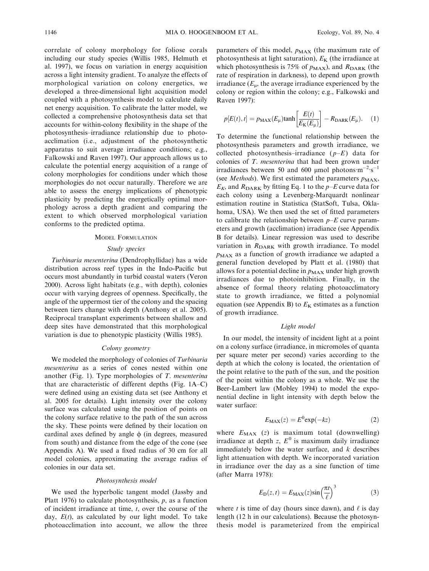correlate of colony morphology for foliose corals including our study species (Willis 1985, Helmuth et al. 1997), we focus on variation in energy acquisition across a light intensity gradient. To analyze the effects of morphological variation on colony energetics, we developed a three-dimensional light acquisition model coupled with a photosynthesis model to calculate daily net energy acquisition. To calibrate the latter model, we collected a comprehensive photosynthesis data set that accounts for within-colony flexibility in the shape of the photosynthesis–irradiance relationship due to photoacclimation (i.e., adjustment of the photosynthetic apparatus to suit average irradiance conditions; e.g., Falkowski and Raven 1997). Our approach allows us to calculate the potential energy acquisition of a range of colony morphologies for conditions under which those morphologies do not occur naturally. Therefore we are able to assess the energy implications of phenotypic plasticity by predicting the energetically optimal morphology across a depth gradient and comparing the extent to which observed morphological variation conforms to the predicted optima.

## MODEL FORMULATION

#### Study species

Turbinaria mesenterina (Dendrophyllidae) has a wide distribution across reef types in the Indo-Pacific but occurs most abundantly in turbid coastal waters (Veron 2000). Across light habitats (e.g., with depth), colonies occur with varying degrees of openness. Specifically, the angle of the uppermost tier of the colony and the spacing between tiers change with depth (Anthony et al. 2005). Reciprocal transplant experiments between shallow and deep sites have demonstrated that this morphological variation is due to phenotypic plasticity (Willis 1985).

## Colony geometry

We modeled the morphology of colonies of Turbinaria mesenterina as a series of cones nested within one another (Fig. 1). Type morphologies of T. mesenterina that are characteristic of different depths (Fig. 1A–C) were defined using an existing data set (see Anthony et al. 2005 for details). Light intensity over the colony surface was calculated using the position of points on the colony surface relative to the path of the sun across the sky. These points were defined by their location on cardinal axes defined by angle  $\phi$  (in degrees, measured from south) and distance from the edge of the cone (see Appendix A). We used a fixed radius of 30 cm for all model colonies, approximating the average radius of colonies in our data set.

#### Photosynthesis model

We used the hyperbolic tangent model (Jassby and Platt 1976) to calculate photosynthesis,  $p$ , as a function of incident irradiance at time,  $t$ , over the course of the day,  $E(t)$ , as calculated by our light model. To take photoacclimation into account, we allow the three parameters of this model,  $p_{MAX}$  (the maximum rate of photosynthesis at light saturation),  $E_K$  (the irradiance at which photosynthesis is 75% of  $p_{MAX}$ ), and  $R_{DARK}$  (the rate of respiration in darkness), to depend upon growth irradiance  $(E_{\rm u}$ , the average irradiance experienced by the colony or region within the colony; e.g., Falkowski and Raven 1997):

$$
p[E(t), t] = p_{\text{MAX}}(E_{\mu}) \tanh\left[\frac{E(t)}{E_{\text{K}}(E_{\mu})}\right] - R_{\text{DARK}}(E_{\mu}). \quad (1)
$$

To determine the functional relationship between the photosynthesis parameters and growth irradiance, we collected photosynthesis–irradiance  $(p-E)$  data for colonies of T. mesenterina that had been grown under irradiances between 50 and 600 µmol photons $\cdot$ m<sup>-2</sup> $\cdot$ s<sup>-1</sup> (see *Methods*). We first estimated the parameters  $p_{MAX}$ ,  $E_K$ , and  $R_{\text{DARK}}$  by fitting Eq. 1 to the  $p$ –E curve data for each colony using a Levenberg-Marquardt nonlinear estimation routine in Statistica (StatSoft, Tulsa, Oklahoma, USA). We then used the set of fitted parameters to calibrate the relationship between  $p-E$  curve parameters and growth (acclimation) irradiance (see Appendix B for details). Linear regression was used to describe variation in  $R_{\text{DARK}}$  with growth irradiance. To model  $p_{MAX}$  as a function of growth irradiance we adapted a general function developed by Platt et al. (1980) that allows for a potential decline in  $p_{MAX}$  under high growth irradiances due to photoinhibition. Finally, in the absence of formal theory relating photoacclimatory state to growth irradiance, we fitted a polynomial equation (see Appendix B) to  $E<sub>K</sub>$  estimates as a function of growth irradiance.

#### Light model

In our model, the intensity of incident light at a point on a colony surface (irradiance, in micromoles of quanta per square meter per second) varies according to the depth at which the colony is located, the orientation of the point relative to the path of the sun, and the position of the point within the colony as a whole. We use the Beer-Lambert law (Mobley 1994) to model the exponential decline in light intensity with depth below the water surface:

$$
E_{\text{MAX}}(z) = E^0 \exp(-kz) \tag{2}
$$

where  $E_{MAX}$  (z) is maximum total (downwelling) irradiance at depth z,  $E^0$  is maximum daily irradiance immediately below the water surface, and  $k$  describes light attenuation with depth. We incorporated variation in irradiance over the day as a sine function of time (after Marra 1978):

$$
E_{\rm D}(z,t) = E_{\rm MAX}(z) \sin\left(\frac{\pi t}{\ell}\right)^3 \tag{3}
$$

where t is time of day (hours since dawn), and  $\ell$  is day length (12 h in our calculations). Because the photosynthesis model is parameterized from the empirical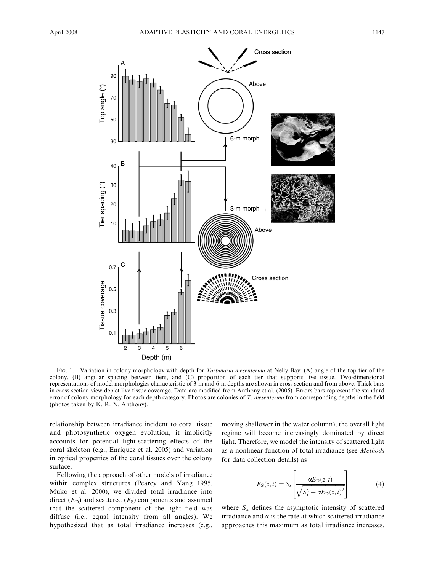

FIG. 1. Variation in colony morphology with depth for *Turbinaria mesenterina* at Nelly Bay: (A) angle of the top tier of the colony, (B) angular spacing between tiers, and (C) proportion of each tier that supports live tissue. Two-dimensional representations of model morphologies characteristic of 3-m and 6-m depths are shown in cross section and from above. Thick bars in cross section view depict live tissue coverage. Data are modified from Anthony et al. (2005). Errors bars represent the standard error of colony morphology for each depth category. Photos are colonies of T. mesenterina from corresponding depths in the field (photos taken by K. R. N. Anthony).

relationship between irradiance incident to coral tissue and photosynthetic oxygen evolution, it implicitly accounts for potential light-scattering effects of the coral skeleton (e.g., Enriquez et al. 2005) and variation in optical properties of the coral tissues over the colony surface.

Following the approach of other models of irradiance within complex structures (Pearcy and Yang 1995, Muko et al. 2000), we divided total irradiance into direct  $(E<sub>D</sub>)$  and scattered  $(E<sub>S</sub>)$  components and assumed that the scattered component of the light field was diffuse (i.e., equal intensity from all angles). We hypothesized that as total irradiance increases (e.g.,

moving shallower in the water column), the overall light regime will become increasingly dominated by direct light. Therefore, we model the intensity of scattered light as a nonlinear function of total irradiance (see Methods for data collection details) as

$$
E_{\rm S}(z,t) = S_x \left[ \frac{\alpha E_{\rm D}(z,t)}{\sqrt{S_x^2 + \alpha E_{\rm D}(z,t)^2}} \right]
$$
(4)

where  $S_x$  defines the asymptotic intensity of scattered irradiance and  $\alpha$  is the rate at which scattered irradiance approaches this maximum as total irradiance increases.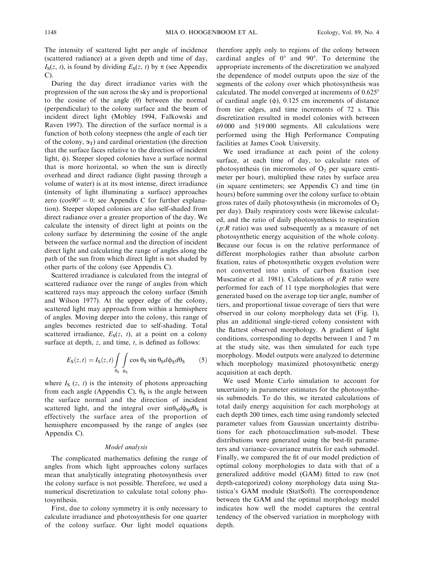The intensity of scattered light per angle of incidence (scattered radiance) at a given depth and time of day,  $I_S(z, t)$ , is found by dividing  $E_S(z, t)$  by  $\pi$  (see Appendix  $C$ ).

During the day direct irradiance varies with the progression of the sun across the sky and is proportional to the cosine of the angle  $(\theta)$  between the normal (perpendicular) to the colony surface and the beam of incident direct light (Mobley 1994, Falkowski and Raven 1997). The direction of the surface normal is a function of both colony steepness (the angle of each tier of the colony,  $\alpha_T$ ) and cardinal orientation (the direction that the surface faces relative to the direction of incident light,  $\phi$ ). Steeper sloped colonies have a surface normal that is more horizontal, so when the sun is directly overhead and direct radiance (light passing through a volume of water) is at its most intense, direct irradiance (intensity of light illuminating a surface) approaches zero (cos $90^\circ = 0$ ; see Appendix C for further explanation). Steeper sloped colonies are also self-shaded from direct radiance over a greater proportion of the day. We calculate the intensity of direct light at points on the colony surface by determining the cosine of the angle between the surface normal and the direction of incident direct light and calculating the range of angles along the path of the sun from which direct light is not shaded by other parts of the colony (see Appendix C).

Scattered irradiance is calculated from the integral of scattered radiance over the range of angles from which scattered rays may approach the colony surface (Smith and Wilson 1977). At the upper edge of the colony, scattered light may approach from within a hemisphere of angles. Moving deeper into the colony, this range of angles becomes restricted due to self-shading. Total scattered irradiance,  $E_S(z, t)$ , at a point on a colony surface at depth,  $z$ , and time,  $t$ , is defined as follows:

$$
E_{\rm S}(z,t) = I_{\rm S}(z,t) \int_{\theta_{\rm S}} \int_{\phi_{\rm S}} \cos \theta_{\rm S} \sin \theta_{\rm S} d\phi_{\rm S} d\theta_{\rm S} \tag{5}
$$

where  $I_{\rm S}$  (z, t) is the intensity of photons approaching from each angle (Appendix C),  $\theta$ <sub>S</sub> is the angle between the surface normal and the direction of incident scattered light, and the integral over  $sin\theta_S d\theta_S d\theta_S$  is effectively the surface area of the proportion of hemisphere encompassed by the range of angles (see Appendix C).

### Model analysis

The complicated mathematics defining the range of angles from which light approaches colony surfaces mean that analytically integrating photosynthesis over the colony surface is not possible. Therefore, we used a numerical discretization to calculate total colony photosynthesis.

First, due to colony symmetry it is only necessary to calculate irradiance and photosynthesis for one quarter of the colony surface. Our light model equations therefore apply only to regions of the colony between cardinal angles of  $0^{\circ}$  and  $90^{\circ}$ . To determine the appropriate increments of the discretization we analyzed the dependence of model outputs upon the size of the segments of the colony over which photosynthesis was calculated. The model converged at increments of  $0.625^{\circ}$ of cardinal angle  $(\phi)$ , 0.125 cm increments of distance from tier edges, and time increments of 72 s. This discretization resulted in model colonies with between 69 000 and 519 000 segments. All calculations were performed using the High Performance Computing facilities at James Cook University.

We used irradiance at each point of the colony surface, at each time of day, to calculate rates of photosynthesis (in micromoles of  $O_2$  per square centimeter per hour), multiplied these rates by surface area (in square centimeters; see Appendix C) and time (in hours) before summing over the colony surface to obtain gross rates of daily photosynthesis (in micromoles of  $O<sub>2</sub>$ ) per day). Daily respiratory costs were likewise calculated, and the ratio of daily photosynthesis to respiration  $(p:R$  ratio) was used subsequently as a measure of net photosynthetic energy acquisition of the whole colony. Because our focus is on the relative performance of different morphologies rather than absolute carbon fixation, rates of photosynthetic oxygen evolution were not converted into units of carbon fixation (see Muscatine et al. 1981). Calculations of  $p:R$  ratio were performed for each of 11 type morphologies that were generated based on the average top tier angle, number of tiers, and proportional tissue coverage of tiers that were observed in our colony morphology data set (Fig. 1), plus an additional single-tiered colony consistent with the flattest observed morphology. A gradient of light conditions, corresponding to depths between 1 and 7 m at the study site, was then simulated for each type morphology. Model outputs were analyzed to determine which morphology maximized photosynthetic energy acquisition at each depth.

We used Monte Carlo simulation to account for uncertainty in parameter estimates for the photosynthesis submodels. To do this, we iterated calculations of total daily energy acquisition for each morphology at each depth 200 times, each time using randomly selected parameter values from Gaussian uncertainty distributions for each photoacclimation sub-model. These distributions were generated using the best-fit parameters and variance–covariance matrix for each submodel. Finally, we compared the fit of our model prediction of optimal colony morphologies to data with that of a generalized additive model (GAM) fitted to raw (not depth-categorized) colony morphology data using Statistica's GAM module (StatSoft). The correspondence between the GAM and the optimal morphology model indicates how well the model captures the central tendency of the observed variation in morphology with depth.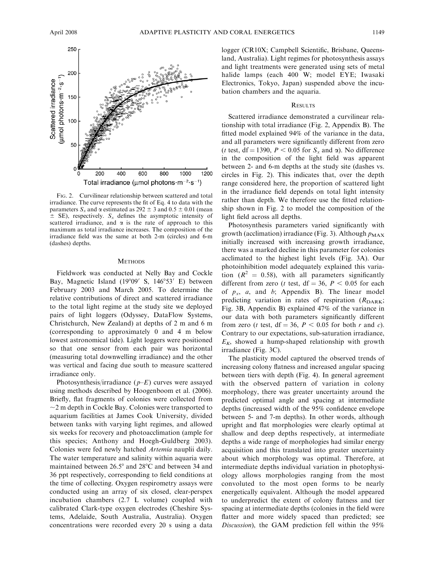

FIG. 2. Curvilinear relationship between scattered and total irradiance. The curve represents the fit of Eq. 4 to data with the parameters  $S_x$  and  $\alpha$  estimated as 292  $\pm$  3 and 0.5  $\pm$  0.01 (mean  $\pm$  SE), respectively.  $S_x$  defines the asymptotic intensity of scattered irradiance, and  $\alpha$  is the rate of approach to this maximum as total irradiance increases. The composition of the irradiance field was the same at both 2-m (circles) and 6-m (dashes) depths.

#### **METHODS**

Fieldwork was conducted at Nelly Bay and Cockle Bay, Magnetic Island  $(19°09'$  S,  $146°53'$  E) between February 2003 and March 2005. To determine the relative contributions of direct and scattered irradiance to the total light regime at the study site we deployed pairs of light loggers (Odyssey, DataFlow Systems, Christchurch, New Zealand) at depths of 2 m and 6 m (corresponding to approximately 0 and 4 m below lowest astronomical tide). Light loggers were positioned so that one sensor from each pair was horizontal (measuring total downwelling irradiance) and the other was vertical and facing due south to measure scattered irradiance only.

Photosynthesis/irradiance  $(p-E)$  curves were assayed using methods described by Hoogenboom et al. (2006). Briefly, flat fragments of colonies were collected from  $\sim$ 2 m depth in Cockle Bay. Colonies were transported to aquarium facilities at James Cook University, divided between tanks with varying light regimes, and allowed six weeks for recovery and photoacclimation (ample for this species; Anthony and Hoegh-Guldberg 2003). Colonies were fed newly hatched Artemia nauplii daily. The water temperature and salinity within aquaria were maintained between  $26.5^{\circ}$  and  $28^{\circ}$ C and between 34 and 36 ppt respectively, corresponding to field conditions at the time of collecting. Oxygen respirometry assays were conducted using an array of six closed, clear-perspex incubation chambers (2.7 L volume) coupled with calibrated Clark-type oxygen electrodes (Cheshire Systems, Adelaide, South Australia, Australia). Oxygen concentrations were recorded every 20 s using a data

logger (CR10X; Campbell Scientific, Brisbane, Queensland, Australia). Light regimes for photosynthesis assays and light treatments were generated using sets of metal halide lamps (each 400 W; model EYE; Iwasaki Electronics, Tokyo, Japan) suspended above the incubation chambers and the aquaria.

#### **RESULTS**

Scattered irradiance demonstrated a curvilinear relationship with total irradiance (Fig. 2, Appendix B). The fitted model explained 94% of the variance in the data, and all parameters were significantly different from zero (*t* test,  $df = 1390$ ,  $P < 0.05$  for  $S_x$  and  $\alpha$ ). No difference in the composition of the light field was apparent between 2- and 6-m depths at the study site (dashes vs. circles in Fig. 2). This indicates that, over the depth range considered here, the proportion of scattered light in the irradiance field depends on total light intensity rather than depth. We therefore use the fitted relationship shown in Fig. 2 to model the composition of the light field across all depths.

Photosynthesis parameters varied significantly with growth (acclimation) irradiance (Fig. 3). Although  $p_{MAX}$ initially increased with increasing growth irradiance, there was a marked decline in this parameter for colonies acclimated to the highest light levels (Fig. 3A). Our photoinhibition model adequately explained this variation ( $R^2 = 0.58$ ), with all parameters significantly different from zero (*t* test,  $df = 36$ ,  $P < 0.05$  for each of  $p_x$ , a, and b; Appendix B). The linear model predicting variation in rates of respiration  $(R_{\text{DARK}};$ Fig. 3B, Appendix B) explained 47% of the variance in our data with both parameters significantly different from zero (*t* test,  $df = 36$ ,  $P < 0.05$  for both *r* and *c*). Contrary to our expectations, sub-saturation irradiance,  $E<sub>K</sub>$ , showed a hump-shaped relationship with growth irradiance (Fig. 3C).

The plasticity model captured the observed trends of increasing colony flatness and increased angular spacing between tiers with depth (Fig. 4). In general agreement with the observed pattern of variation in colony morphology, there was greater uncertainty around the predicted optimal angle and spacing at intermediate depths (increased width of the 95% confidence envelope between 5- and 7-m depths). In other words, although upright and flat morphologies were clearly optimal at shallow and deep depths respectively, at intermediate depths a wide range of morphologies had similar energy acquisition and this translated into greater uncertainty about which morphology was optimal. Therefore, at intermediate depths individual variation in photophysiology allows morphologies ranging from the most convoluted to the most open forms to be nearly energetically equivalent. Although the model appeared to underpredict the extent of colony flatness and tier spacing at intermediate depths (colonies in the field were flatter and more widely spaced than predicted; see Discussion), the GAM prediction fell within the 95%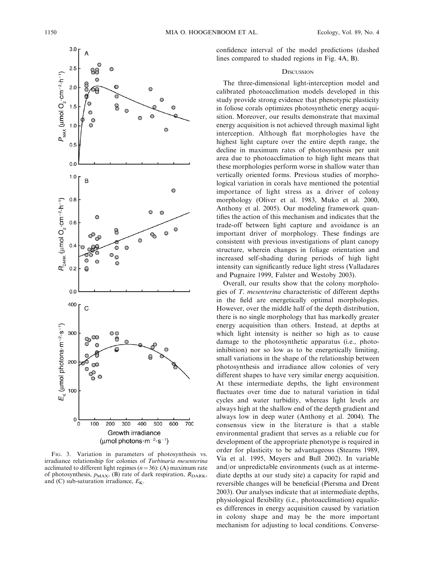

FIG. 3. Variation in parameters of photosynthesis vs. irradiance relationship for colonies of Turbinaria mesenterina acclimated to different light regimes ( $n=36$ ): (A) maximum rate of photosynthesis,  $p_{MAX}$ , (B) rate of dark respiration,  $R_{DARK}$ , and (C) sub-saturation irradiance,  $E_{\rm K}$ .

confidence interval of the model predictions (dashed lines compared to shaded regions in Fig. 4A, B).

## **DISCUSSION**

The three-dimensional light-interception model and calibrated photoacclimation models developed in this study provide strong evidence that phenotypic plasticity in foliose corals optimizes photosynthetic energy acquisition. Moreover, our results demonstrate that maximal energy acquisition is not achieved through maximal light interception. Although flat morphologies have the highest light capture over the entire depth range, the decline in maximum rates of photosynthesis per unit area due to photoacclimation to high light means that these morphologies perform worse in shallow water than vertically oriented forms. Previous studies of morphological variation in corals have mentioned the potential importance of light stress as a driver of colony morphology (Oliver et al. 1983, Muko et al. 2000, Anthony et al. 2005). Our modeling framework quantifies the action of this mechanism and indicates that the trade-off between light capture and avoidance is an important driver of morphology. These findings are consistent with previous investigations of plant canopy structure, wherein changes in foliage orientation and increased self-shading during periods of high light intensity can significantly reduce light stress (Valladares and Pugnaire 1999, Falster and Westoby 2003).

Overall, our results show that the colony morphologies of T. mesenterina characteristic of different depths in the field are energetically optimal morphologies. However, over the middle half of the depth distribution, there is no single morphology that has markedly greater energy acquisition than others. Instead, at depths at which light intensity is neither so high as to cause damage to the photosynthetic apparatus (i.e., photoinhibition) nor so low as to be energetically limiting, small variations in the shape of the relationship between photosynthesis and irradiance allow colonies of very different shapes to have very similar energy acquisition. At these intermediate depths, the light environment fluctuates over time due to natural variation in tidal cycles and water turbidity, whereas light levels are always high at the shallow end of the depth gradient and always low in deep water (Anthony et al. 2004). The consensus view in the literature is that a stable environmental gradient that serves as a reliable cue for development of the appropriate phenotype is required in order for plasticity to be advantageous (Stearns 1989, Via et al. 1995, Meyers and Bull 2002). In variable and/or unpredictable environments (such as at intermediate depths at our study site) a capacity for rapid and reversible changes will be beneficial (Piersma and Drent 2003). Our analyses indicate that at intermediate depths, physiological flexibility (i.e., photoacclimation) equalizes differences in energy acquisition caused by variation in colony shape and may be the more important mechanism for adjusting to local conditions. Converse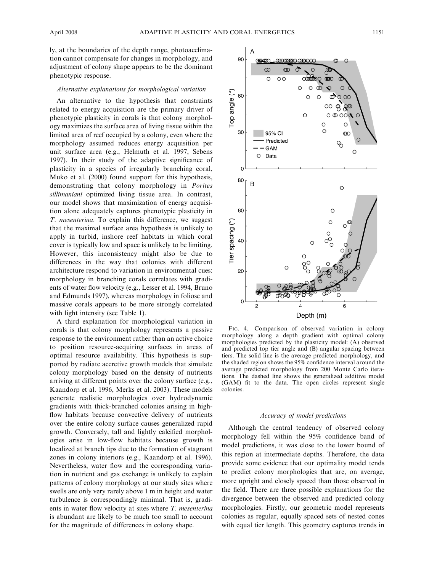ly, at the boundaries of the depth range, photoacclimation cannot compensate for changes in morphology, and adjustment of colony shape appears to be the dominant phenotypic response.

## Alternative explanations for morphological variation

An alternative to the hypothesis that constraints related to energy acquisition are the primary driver of phenotypic plasticity in corals is that colony morphology maximizes the surface area of living tissue within the limited area of reef occupied by a colony, even where the morphology assumed reduces energy acquisition per unit surface area (e.g., Helmuth et al. 1997, Sebens 1997). In their study of the adaptive significance of plasticity in a species of irregularly branching coral, Muko et al. (2000) found support for this hypothesis, demonstrating that colony morphology in Porites sillimaniani optimized living tissue area. In contrast, our model shows that maximization of energy acquisition alone adequately captures phenotypic plasticity in T. mesenterina. To explain this difference, we suggest that the maximal surface area hypothesis is unlikely to apply in turbid, inshore reef habitats in which coral cover is typically low and space is unlikely to be limiting. However, this inconsistency might also be due to differences in the way that colonies with different architecture respond to variation in environmental cues: morphology in branching corals correlates with gradients of water flow velocity (e.g., Lesser et al. 1994, Bruno and Edmunds 1997), whereas morphology in foliose and massive corals appears to be more strongly correlated with light intensity (see Table 1).

A third explanation for morphological variation in corals is that colony morphology represents a passive response to the environment rather than an active choice to position resource-acquiring surfaces in areas of optimal resource availability. This hypothesis is supported by radiate accretive growth models that simulate colony morphology based on the density of nutrients arriving at different points over the colony surface (e.g., Kaandorp et al. 1996, Merks et al. 2003). These models generate realistic morphologies over hydrodynamic gradients with thick-branched colonies arising in highflow habitats because convective delivery of nutrients over the entire colony surface causes generalized rapid growth. Conversely, tall and lightly calcified morphologies arise in low-flow habitats because growth is localized at branch tips due to the formation of stagnant zones in colony interiors (e.g., Kaandorp et al. 1996). Nevertheless, water flow and the corresponding variation in nutrient and gas exchange is unlikely to explain patterns of colony morphology at our study sites where swells are only very rarely above 1 m in height and water turbulence is correspondingly minimal. That is, gradients in water flow velocity at sites where T. mesenterina is abundant are likely to be much too small to account for the magnitude of differences in colony shape.



FIG. 4. Comparison of observed variation in colony morphology along a depth gradient with optimal colony morphologies predicted by the plasticity model: (A) observed and predicted top tier angle and (B) angular spacing between tiers. The solid line is the average predicted morphology, and the shaded region shows the 95% confidence interval around the average predicted morphology from 200 Monte Carlo iterations. The dashed line shows the generalized additive model (GAM) fit to the data. The open circles represent single colonies.

#### Accuracy of model predictions

Although the central tendency of observed colony morphology fell within the 95% confidence band of model predictions, it was close to the lower bound of this region at intermediate depths. Therefore, the data provide some evidence that our optimality model tends to predict colony morphologies that are, on average, more upright and closely spaced than those observed in the field. There are three possible explanations for the divergence between the observed and predicted colony morphologies. Firstly, our geometric model represents colonies as regular, equally spaced sets of nested cones with equal tier length. This geometry captures trends in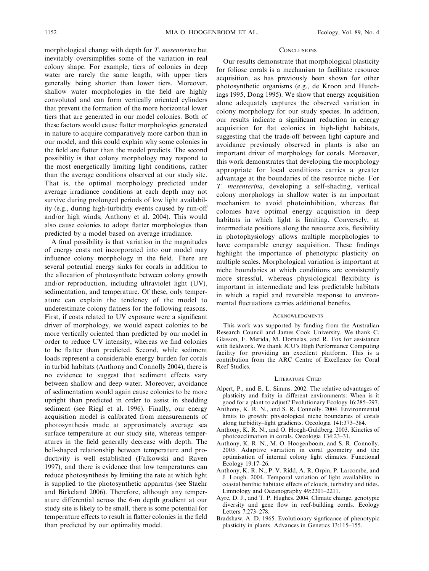morphological change with depth for T. mesenterina but inevitably oversimplifies some of the variation in real colony shape. For example, tiers of colonies in deep water are rarely the same length, with upper tiers generally being shorter than lower tiers. Moreover, shallow water morphologies in the field are highly convoluted and can form vertically oriented cylinders that prevent the formation of the more horizontal lower tiers that are generated in our model colonies. Both of these factors would cause flatter morphologies generated in nature to acquire comparatively more carbon than in our model, and this could explain why some colonies in the field are flatter than the model predicts. The second possibility is that colony morphology may respond to the most energetically limiting light conditions, rather than the average conditions observed at our study site. That is, the optimal morphology predicted under average irradiance conditions at each depth may not survive during prolonged periods of low light availability (e.g., during high-turbidity events caused by run-off and/or high winds; Anthony et al. 2004). This would also cause colonies to adopt flatter morphologies than predicted by a model based on average irradiance.

A final possibility is that variation in the magnitudes of energy costs not incorporated into our model may influence colony morphology in the field. There are several potential energy sinks for corals in addition to the allocation of photosynthate between colony growth and/or reproduction, including ultraviolet light (UV), sedimentation, and temperature. Of these, only temperature can explain the tendency of the model to underestimate colony flatness for the following reasons. First, if costs related to UV exposure were a significant driver of morphology, we would expect colonies to be more vertically oriented than predicted by our model in order to reduce UV intensity, whereas we find colonies to be flatter than predicted. Second, while sediment loads represent a considerable energy burden for corals in turbid habitats (Anthony and Connolly 2004), there is no evidence to suggest that sediment effects vary between shallow and deep water. Moreover, avoidance of sedimentation would again cause colonies to be more upright than predicted in order to assist in shedding sediment (see Riegl et al. 1996). Finally, our energy acquisition model is calibrated from measurements of photosynthesis made at approximately average sea surface temperature at our study site, whereas temperatures in the field generally decrease with depth. The bell-shaped relationship between temperature and productivity is well established (Falkowski and Raven 1997), and there is evidence that low temperatures can reduce photosynthesis by limiting the rate at which light is supplied to the photosynthetic apparatus (see Staehr and Birkeland 2006). Therefore, although any temperature differential across the 6-m depth gradient at our study site is likely to be small, there is some potential for temperature effects to result in flatter colonies in the field than predicted by our optimality model.

#### **CONCLUSIONS**

Our results demonstrate that morphological plasticity for foliose corals is a mechanism to facilitate resource acquisition, as has previously been shown for other photosynthetic organisms (e.g., de Kroon and Hutchings 1995, Dong 1995). We show that energy acquisition alone adequately captures the observed variation in colony morphology for our study species. In addition, our results indicate a significant reduction in energy acquisition for flat colonies in high-light habitats, suggesting that the trade-off between light capture and avoidance previously observed in plants is also an important driver of morphology for corals. Moreover, this work demonstrates that developing the morphology appropriate for local conditions carries a greater advantage at the boundaries of the resource niche. For T. mesenterina, developing a self-shading, vertical colony morphology in shallow water is an important mechanism to avoid photoinhibition, whereas flat colonies have optimal energy acquisition in deep habitats in which light is limiting. Conversely, at intermediate positions along the resource axis, flexibility in photophysiology allows multiple morphologies to have comparable energy acquisition. These findings highlight the importance of phenotypic plasticity on multiple scales. Morphological variation is important at niche boundaries at which conditions are consistently more stressful, whereas physiological flexibility is important in intermediate and less predictable habitats in which a rapid and reversible response to environmental fluctuations carries additional benefits.

## **ACKNOWLEDGMENTS**

This work was supported by funding from the Australian Research Council and James Cook University. We thank C. Glasson, F. Merida, M. Dornelas, and R. Fox for assistance with fieldwork. We thank JCU's High Performance Computing facility for providing an excellent platform. This is a contribution from the ARC Centre of Excellence for Coral Reef Studies.

#### LITERATURE CITED

- Alpert, P., and E. L. Simms. 2002. The relative advantages of plasticity and fixity in different environments: When is it good for a plant to adjust? Evolutionary Ecology 16:285–297.
- Anthony, K. R. N., and S. R. Connolly. 2004. Environmental limits to growth: physiological niche boundaries of corals along turbidity–light gradients. Oecologia 141:373–384.
- Anthony, K. R. N., and O. Hoegh-Guldberg. 2003. Kinetics of photoacclimation in corals. Oecologia 134:23–31.
- Anthony, K. R. N., M. O. Hoogenboom, and S. R. Connolly. 2005. Adaptive variation in coral geometry and the optimisation of internal colony light climates. Functional Ecology 19:17–26.
- Anthony, K. R. N., P. V. Ridd, A. R. Orpin, P. Larcombe, and J. Lough. 2004. Temporal variation of light availability in coastal benthic habitats: effects of clouds, turbidity and tides. Limnology and Oceanography 49:2201–2211.
- Ayre, D. J., and T. P. Hughes. 2004. Climate change, genotypic diversity and gene flow in reef-building corals. Ecology Letters 7:273–278.
- Bradshaw, A. D. 1965. Evolutionary signficance of phenotypic plasticity in plants. Advances in Genetics 13:115–155.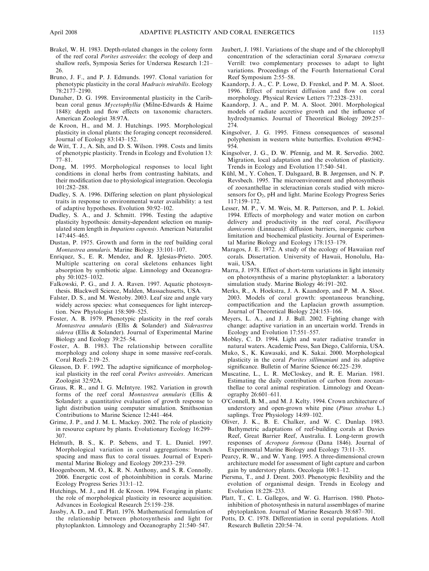- Brakel, W. H. 1983. Depth-related changes in the colony form of the reef coral Porites astreoides: the ecology of deep and shallow reefs, Symposia Series for Undersea Research 1:21– 26.
- Bruno, J. F., and P. J. Edmunds. 1997. Clonal variation for phenotypic plasticity in the coral Madracis mirabilis. Ecology 78:2177–2190.
- Danaher, D. G. 1998. Environmental plasticity in the Caribbean coral genus Mycetophyllia (Milne-Edwards & Haime 1848): depth and flow effects on taxonomic characters. American Zoologist 38:97A.
- de Kroon, H., and M. J. Hutchings. 1995. Morphological plasticity in clonal plants: the foraging concept reconsidered. Journal of Ecology 83:143–152.
- de Witt, T. J., A. Sih, and D. S. Wilson. 1998. Costs and limits of phenotypic plasticity. Trends in Ecology and Evolution 13: 77–81.
- Dong, M. 1995. Morphological responses to local light conditions in clonal herbs from contrasting habitats, and their modification due to physiological integration. Oecologia 101:282–288.
- Dudley, S. A. 1996. Differing selection on plant physiological traits in response to environmental water availability: a test of adaptive hypotheses. Evolution 50:92–102.
- Dudley, S. A., and J. Schmitt. 1996. Testing the adaptive plasticity hypothesis: density-dependent selection on manipulated stem length in Impatiens capensis. American Naturalist 147:445–465.
- Dustan, P. 1975. Growth and form in the reef building coral Montastrea annularis. Marine Biology 33:101–107.
- Enriquez, S., E. R. Mendez, and R. Iglesias-Prieto. 2005. Multiple scattering on coral skeletons enhances light absorption by symbiotic algae. Limnology and Oceanography 50:1025–1032.
- Falkowski, P. G., and J. A. Raven. 1997. Aquatic photosynthesis. Blackwell Science, Malden, Massachusetts, USA.
- Falster, D. S., and M. Westoby. 2003. Leaf size and angle vary widely across species: what consequences for light interception. New Phytologist 158:509–525.
- Foster, A. B. 1979. Phenotypic plasticity in the reef corals Montastrea annularis (Ellis & Solander) and Siderastrea siderea (Ellis & Solander). Journal of Experimental Marine Biology and Ecology 39:25–54.
- Foster, A. B. 1983. The relationship between corallite morphology and colony shape in some massive reef-corals. Coral Reefs 2:19–25.
- Gleason, D. F. 1992. The adaptive significance of morphological plasticity in the reef coral Porites astreoides. American Zoologist 32:92A.
- Graus, R. R., and I. G. McIntyre. 1982. Variation in growth forms of the reef coral Montastrea annularis (Ellis & Solander): a quantitative evaluation of growth response to light distribution using computer simulation. Smithsonian Contributions to Marine Science 12:441–464.
- Grime, J. P., and J. M. L. Mackey. 2002. The role of plasticity in resource capture by plants. Evolutionary Ecology 16:299– 307.
- Helmuth, B. S., K. P. Sebens, and T. L. Daniel. 1997. Morphological variation in coral aggregations: branch spacing and mass flux to coral tissues. Journal of Experimental Marine Biology and Ecology 209:233–259.
- Hoogenboom, M. O., K. R. N. Anthony, and S. R. Connolly. 2006. Energetic cost of photoinhibition in corals. Marine Ecology Progress Series 313:1–12.
- Hutchings, M. J., and H. de Kroon. 1994. Foraging in plants: the role of morphological plasticity in resource acquisition. Advances in Ecological Research 25:159–238.
- Jassby, A. D., and T. Platt. 1976. Mathematical formulation of the relationship between photosynthesis and light for phytoplankton. Limnology and Oceanography 21:540–547.
- Jaubert, J. 1981. Variations of the shape and of the chlorophyll concentration of the scleractinian coral Synaraea convexa Verrill: two complementary processes to adapt to light variations. Proceedings of the Fourth International Coral Reef Symposium 2:55–58.
- Kaandorp, J. A., C. P. Lowe, D. Frenkel, and P. M. A. Sloot. 1996. Effect of nutrient diffusion and flow on coral morphology. Physical Review Letters 77:2328–2331.
- Kaandorp, J. A., and P. M. A. Sloot. 2001. Morphological models of radiate accretive growth and the influence of hydrodynamics. Journal of Theoretical Biology 209:257– 274.
- Kingsolver, J. G. 1995. Fitness consequences of seasonal polyphenism in western white butterflies. Evolution 49:942– 954.
- Kingsolver, J. G., D. W. Pfennig, and M. R. Servedio. 2002. Migration, local adaptation and the evolution of plasticity. Trends in Ecology and Evolution 17:540–541.
- Kühl, M., Y. Cohen, T. Dalsgaard, B. B. Jørgensen, and N. P. Revsbech. 1995. The microenvironment and photosynthesis of zooxanthellae in scleractinian corals studied with microsensors for O<sub>2</sub>, pH and light. Marine Ecology Progress Series 117:159–172.
- Lesser, M. P., V. M. Weis, M. R. Patterson, and P. L. Jokiel. 1994. Effects of morphology and water motion on carbon delivery and productivity in the reef coral, Pocillopora damicornis (Linnaeus): diffusion barriers, inorganic carbon limitation and biochemical plasticity. Journal of Experimental Marine Biology and Ecology 178:153–179.
- Maragos, J. E. 1972. A study of the ecology of Hawaiian reef corals. Dissertation. University of Hawaii, Honolulu, Hawaii, USA.
- Marra, J. 1978. Effect of short-term variations in light intensity on photosynthesis of a marine phytoplankter: a laboratory simulation study. Marine Biology 46:191–202.
- Merks, R., A. Hoekstra, J. A. Kaandorp, and P. M. A. Sloot. 2003. Models of coral growth: spontaneous branching, compactification and the Laplacian growth assumption. Journal of Theoretical Biology 224:153–166.
- Meyers, L. A., and J. J. Bull. 2002. Fighting change with change: adaptive variation in an uncertain world. Trends in Ecology and Evolution 17:551–557.
- Mobley, C. D. 1994. Light and water radiative transfer in natural waters. Academic Press, San Diego, California, USA.
- Muko, S., K. Kawasaki, and K. Sakai. 2000. Morphological plasticity in the coral Porites sillimaniani and its adaptive significance. Bulletin of Marine Science 66:225–239.
- Muscatine, L., L. R. McCloskey, and R. E. Marian. 1981. Estimating the daily contribution of carbon from zooxanthellae to coral animal respiration. Limnology and Oceanography 26:601–611.
- O'Connell, B. M., and M. J. Kelty. 1994. Crown architecture of understory and open-grown white pine (Pinus strobus L.) saplings. Tree Physiology 14:89–102.
- Oliver, J. K., B. E. Chalker, and W. C. Dunlap. 1983. Bathymetric adaptations of reef-building corals at Davies Reef, Great Barrier Reef, Australia. I. Long-term growth responses of Acropora formosa (Dana 1846). Journal of Experimental Marine Biology and Ecology 73:11–35.
- Pearcy, R. W., and W. Yang. 1995. A three-dimensional crown architecture model for assessment of light capture and carbon gain by understory plants. Oecologia 108:1–12.
- Piersma, T., and J. Drent. 2003. Phenotypic flexibility and the evolution of organismal design. Trends in Ecology and Evolution 18:228–233.
- Platt, T., C. L. Gallegos, and W. G. Harrison. 1980. Photoinhibition of photosynthesis in natural assemblages of marine phytoplankton. Journal of Marine Research 38:687–701.
- Potts, D. C. 1978. Differentiation in coral populations. Atoll Research Bulletin 220:54–74.